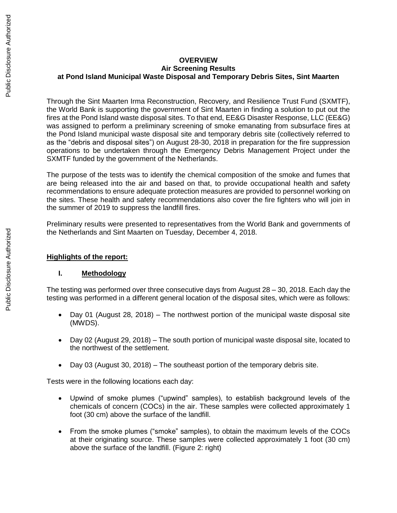# **OVERVIEW Air Screening Results at Pond Island Municipal Waste Disposal and Temporary Debris Sites, Sint Maarten**

Through the Sint Maarten Irma Reconstruction, Recovery, and Resilience Trust Fund (SXMTF), the World Bank is supporting the government of Sint Maarten in finding a solution to put out the fires at the Pond Island waste disposal sites. To that end, EE&G Disaster Response, LLC (EE&G) was assigned to perform a preliminary screening of smoke emanating from subsurface fires at the Pond Island municipal waste disposal site and temporary debris site (collectively referred to as the "debris and disposal sites") on August 28-30, 2018 in preparation for the fire suppression operations to be undertaken through the Emergency Debris Management Project under the SXMTF funded by the government of the Netherlands.

The purpose of the tests was to identify the chemical composition of the smoke and fumes that are being released into the air and based on that, to provide occupational health and safety recommendations to ensure adequate protection measures are provided to personnel working on the sites. These health and safety recommendations also cover the fire fighters who will join in the summer of 2019 to suppress the landfill fires.

Preliminary results were presented to representatives from the World Bank and governments of the Netherlands and Sint Maarten on Tuesday, December 4, 2018.

### **Highlights of the report:**

#### **I. Methodology**

The testing was performed over three consecutive days from August 28 – 30, 2018. Each day the testing was performed in a different general location of the disposal sites, which were as follows:

- Day 01 (August 28, 2018) The northwest portion of the municipal waste disposal site (MWDS).
- Day 02 (August 29, 2018) The south portion of municipal waste disposal site, located to the northwest of the settlement.
- Day 03 (August 30, 2018) The southeast portion of the temporary debris site.

Tests were in the following locations each day:

- Upwind of smoke plumes ("upwind" samples), to establish background levels of the chemicals of concern (COCs) in the air. These samples were collected approximately 1 foot (30 cm) above the surface of the landfill.
- From the smoke plumes ("smoke" samples), to obtain the maximum levels of the COCs at their originating source. These samples were collected approximately 1 foot (30 cm) above the surface of the landfill. (Figure 2: right)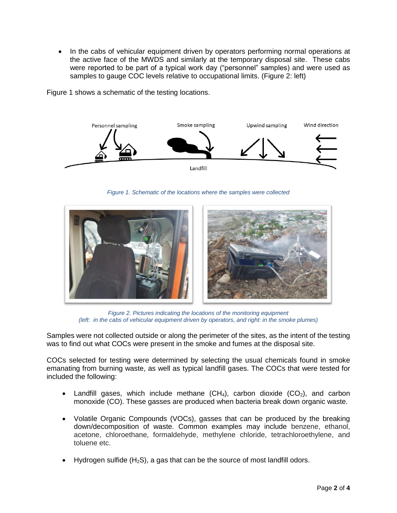• In the cabs of vehicular equipment driven by operators performing normal operations at the active face of the MWDS and similarly at the temporary disposal site. These cabs were reported to be part of a typical work day ("personnel" samples) and were used as samples to gauge COC levels relative to occupational limits. (Figure 2: left)

Figure 1 shows a schematic of the testing locations.



*Figure 1. Schematic of the locations where the samples were collected*



*Figure 2. Pictures indicating the locations of the monitoring equipment (left: in the cabs of vehicular equipment driven by operators, and right: in the smoke plumes)*

Samples were not collected outside or along the perimeter of the sites, as the intent of the testing was to find out what COCs were present in the smoke and fumes at the disposal site.

COCs selected for testing were determined by selecting the usual chemicals found in smoke emanating from burning waste, as well as typical landfill gases. The COCs that were tested for included the following:

- Landfill gases, which include methane  $(CH_4)$ , carbon dioxide  $(CO_2)$ , and carbon monoxide (CO). These gasses are produced when bacteria break down organic waste.
- Volatile Organic Compounds (VOCs), gasses that can be produced by the breaking down/decomposition of waste. Common examples may include benzene, ethanol, acetone, chloroethane, formaldehyde, methylene chloride, tetrachloroethylene, and toluene etc.
- Hydrogen sulfide  $(H_2S)$ , a gas that can be the source of most landfill odors.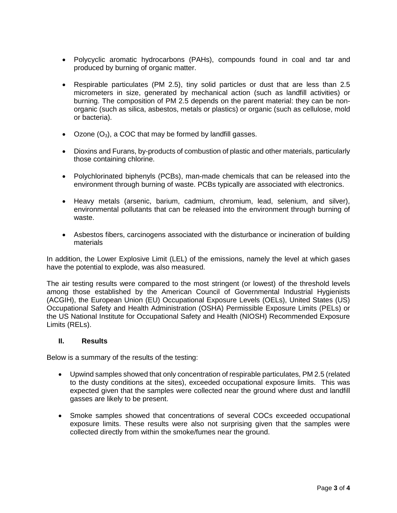- Polycyclic aromatic hydrocarbons (PAHs), compounds found in coal and tar and produced by burning of organic matter.
- Respirable particulates (PM 2.5), tiny solid particles or dust that are less than 2.5 micrometers in size, generated by mechanical action (such as landfill activities) or burning. The composition of PM 2.5 depends on the parent material: they can be nonorganic (such as silica, asbestos, metals or plastics) or organic (such as cellulose, mold or bacteria).
- Ozone  $(O_3)$ , a COC that may be formed by landfill gasses.
- Dioxins and Furans, by-products of combustion of plastic and other materials, particularly those containing chlorine.
- Polychlorinated biphenyls (PCBs), man-made chemicals that can be released into the environment through burning of waste. PCBs typically are associated with electronics.
- Heavy metals (arsenic, barium, cadmium, chromium, lead, selenium, and silver), environmental pollutants that can be released into the environment through burning of waste.
- Asbestos fibers, carcinogens associated with the disturbance or incineration of building materials

In addition, the Lower Explosive Limit (LEL) of the emissions, namely the level at which gases have the potential to explode, was also measured.

The air testing results were compared to the most stringent (or lowest) of the threshold levels among those established by the American Council of Governmental Industrial Hygienists (ACGIH), the European Union (EU) Occupational Exposure Levels (OELs), United States (US) Occupational Safety and Health Administration (OSHA) Permissible Exposure Limits (PELs) or the US National Institute for Occupational Safety and Health (NIOSH) Recommended Exposure Limits (RELs).

#### **II. Results**

Below is a summary of the results of the testing:

- Upwind samples showed that only concentration of respirable particulates, PM 2.5 (related to the dusty conditions at the sites), exceeded occupational exposure limits. This was expected given that the samples were collected near the ground where dust and landfill gasses are likely to be present.
- Smoke samples showed that concentrations of several COCs exceeded occupational exposure limits. These results were also not surprising given that the samples were collected directly from within the smoke/fumes near the ground.